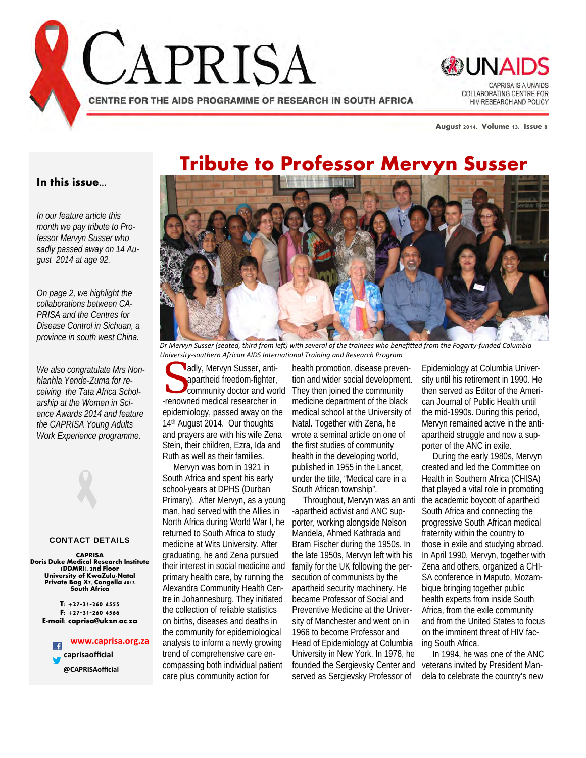



**August 2014, Volume 13, Issue 8** 

## **Tribute to Professor Mervyn Susser**

#### **In this issue...**

*In our feature article this month we pay tribute to Professor Mervyn Susser who sadly passed away on 14 August 2014 at age 92.* 

*On page 2, we highlight the collaborations between CA-PRISA and the Centres for Disease Control in Sichuan, a province in south west China.* 

*We also congratulate Mrs Nonhlanhla Yende-Zuma for receiving the Tata Africa Scholarship at the Women in Science Awards 2014 and feature the CAPRISA Young Adults Work Experience programme.*

#### CONTACT DETAILS

**CAPRISA Doris Duke Medical Research Institute (DDMRI), 2nd Floor University of KwaZulu-Natal Private Bag X7, Congella 4013 South Africa** 

> **T: +27-31-260 4555 F: +27-31-260 4566 E-mail: caprisa@ukzn.ac.za**

**www.caprisa.org.za**  $\overline{f}$  **caprisaofficial @CAPRISAofficial**



Dr Mervyn Susser (seated, third from left) with several of the trainees who benefitted from the Fogarty-funded Columbia *University‐southern African AIDS InternaƟonal Training and Research Program*

susser, anti-<br>
apartheid freedom-fighter, tion and wider social development<br>
community doctor and world<br>
They then joined the community<br>
consumed madisel receptibles in an analysis department of the black apartheid freedom-fighter, -renowned medical researcher in epidemiology, passed away on the 14<sup>th</sup> August 2014. Our thoughts and prayers are with his wife Zena Stein, their children, Ezra, Ida and Ruth as well as their families.

 Mervyn was born in 1921 in South Africa and spent his early school-years at DPHS (Durban Primary). After Mervyn, as a young man, had served with the Allies in North Africa during World War I, he returned to South Africa to study medicine at Wits University. After graduating, he and Zena pursued their interest in social medicine and primary health care, by running the Alexandra Community Health Centre in Johannesburg. They initiated the collection of reliable statistics on births, diseases and deaths in the community for epidemiological analysis to inform a newly growing trend of comprehensive care encompassing both individual patient care plus community action for

health promotion, disease prevention and wider social development. medicine department of the black medical school at the University of Natal. Together with Zena, he wrote a seminal article on one of the first studies of community health in the developing world, published in 1955 in the Lancet, under the title, "Medical care in a South African township".

 Throughout, Mervyn was an anti -apartheid activist and ANC supporter, working alongside Nelson Mandela, Ahmed Kathrada and Bram Fischer during the 1950s. In the late 1950s, Mervyn left with his family for the UK following the persecution of communists by the apartheid security machinery. He became Professor of Social and Preventive Medicine at the University of Manchester and went on in 1966 to become Professor and Head of Epidemiology at Columbia University in New York. In 1978, he founded the Sergievsky Center and served as Sergievsky Professor of

Epidemiology at Columbia University until his retirement in 1990. He then served as Editor of the American Journal of Public Health until the mid-1990s. During this period, Mervyn remained active in the antiapartheid struggle and now a supporter of the ANC in exile.

 During the early 1980s, Mervyn created and led the Committee on Health in Southern Africa (CHISA) that played a vital role in promoting the academic boycott of apartheid South Africa and connecting the progressive South African medical fraternity within the country to those in exile and studying abroad. In April 1990, Mervyn, together with Zena and others, organized a CHI-SA conference in Maputo, Mozambique bringing together public health experts from inside South Africa, from the exile community and from the United States to focus on the imminent threat of HIV facing South Africa.

 In 1994, he was one of the ANC veterans invited by President Mandela to celebrate the country's new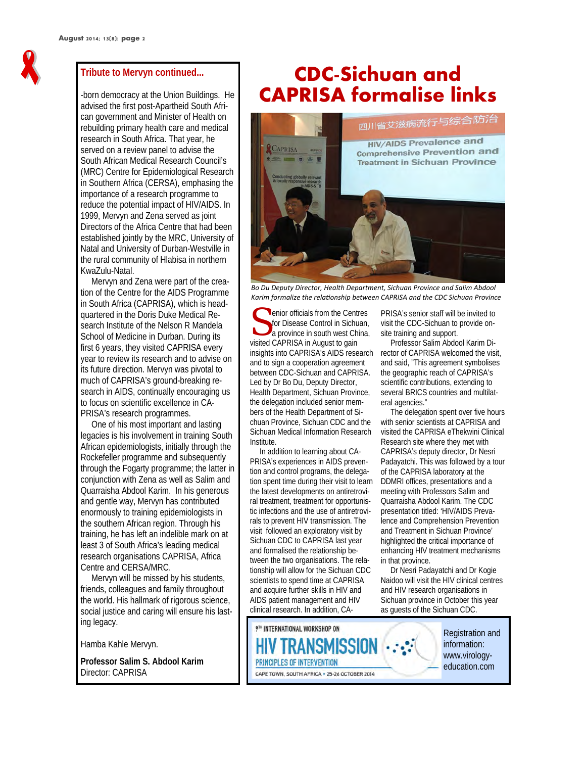

#### **Tribute to Mervyn continued...**

-born democracy at the Union Buildings. He advised the first post-Apartheid South African government and Minister of Health on rebuilding primary health care and medical research in South Africa. That year, he served on a review panel to advise the South African Medical Research Council's (MRC) Centre for Epidemiological Research in Southern Africa (CERSA), emphasing the importance of a research programme to reduce the potential impact of HIV/AIDS. In 1999, Mervyn and Zena served as joint Directors of the Africa Centre that had been established jointly by the MRC, University of Natal and University of Durban-Westville in the rural community of Hlabisa in northern KwaZulu-Natal.

 Mervyn and Zena were part of the creation of the Centre for the AIDS Programme in South Africa (CAPRISA), which is headquartered in the Doris Duke Medical Research Institute of the Nelson R Mandela School of Medicine in Durban. During its first 6 years, they visited CAPRISA every year to review its research and to advise on its future direction. Mervyn was pivotal to much of CAPRISA's ground-breaking research in AIDS, continually encouraging us to focus on scientific excellence in CA-PRISA's research programmes.

 One of his most important and lasting legacies is his involvement in training South African epidemiologists, initially through the Rockefeller programme and subsequently through the Fogarty programme; the latter in conjunction with Zena as well as Salim and Quarraisha Abdool Karim. In his generous and gentle way, Mervyn has contributed enormously to training epidemiologists in the southern African region. Through his training, he has left an indelible mark on at least 3 of South Africa's leading medical research organisations CAPRISA, Africa Centre and CERSA/MRC.

 Mervyn will be missed by his students, friends, colleagues and family throughout the world. His hallmark of rigorous science, social justice and caring will ensure his lasting legacy.

Hamba Kahle Mervyn.

**Professor Salim S. Abdool Karim**  Director: CAPRISA

# **CDC-Sichuan and CAPRISA formalise links**



*Bo Du Deputy Director, Health Department, Sichuan Province and Salim Abdool Karim formalize the relaƟonship between CAPRISA and the CDC Sichuan Province* 

enior officials from the Centres<br>for Disease Control in Sichuan,<br>a province in south west China, for Disease Control in Sichuan, a province in south west China, visited CAPRISA in August to gain insights into CAPRISA's AIDS research and to sign a cooperation agreement between CDC-Sichuan and CAPRISA. Led by Dr Bo Du, Deputy Director, Health Department, Sichuan Province, the delegation included senior members of the Health Department of Sichuan Province, Sichuan CDC and the Sichuan Medical Information Research Institute.

 In addition to learning about CA-PRISA's experiences in AIDS prevention and control programs, the delegation spent time during their visit to learn the latest developments on antiretroviral treatment, treatment for opportunistic infections and the use of antiretrovirals to prevent HIV transmission. The visit followed an exploratory visit by Sichuan CDC to CAPRISA last year and formalised the relationship between the two organisations. The relationship will allow for the Sichuan CDC scientists to spend time at CAPRISA and acquire further skills in HIV and AIDS patient management and HIV clinical research. In addition, CA-

PRISA's senior staff will be invited to visit the CDC-Sichuan to provide onsite training and support.

 Professor Salim Abdool Karim Director of CAPRISA welcomed the visit, and said, "This agreement symbolises the geographic reach of CAPRISA's scientific contributions, extending to several BRICS countries and multilateral agencies."

 The delegation spent over five hours with senior scientists at CAPRISA and visited the CAPRISA eThekwini Clinical Research site where they met with CAPRISA's deputy director, Dr Nesri Padayatchi. This was followed by a tour of the CAPRISA laboratory at the DDMRI offices, presentations and a meeting with Professors Salim and Quarraisha Abdool Karim. The CDC presentation titled: 'HIV/AIDS Prevalence and Comprehension Prevention and Treatment in Sichuan Province' highlighted the critical importance of enhancing HIV treatment mechanisms in that province.

 Dr Nesri Padayatchi and Dr Kogie Naidoo will visit the HIV clinical centres and HIV research organisations in Sichuan province in October this year as guests of the Sichuan CDC.

> Registration and information: www.virologyeducation.com

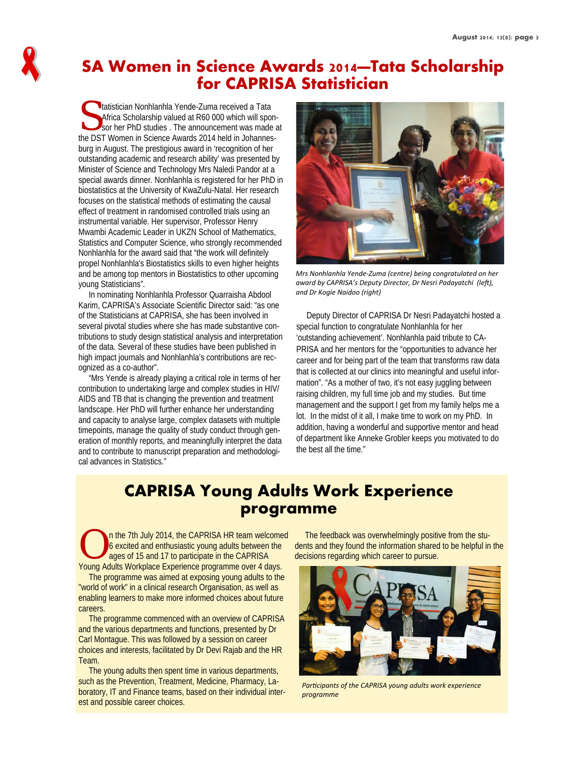### **SA Women in Science Awards 2014—Tata Scholarship for CAPRISA Statistician**

Initiatistician Nonhlanhla Yende-Zuma received a Tata<br>Africa Scholarship valued at R60 000 which will spot<br>Sor her PhD studies . The announcement was made<br>the DST More Music function Africa Scholarship valued at R60 000 which will sponsor her PhD studies . The announcement was made at the DST Women in Science Awards 2014 held in Johannesburg in August. The prestigious award in 'recognition of her outstanding academic and research ability' was presented by Minister of Science and Technology Mrs Naledi Pandor at a special awards dinner. Nonhlanhla is registered for her PhD in biostatistics at the University of KwaZulu-Natal. Her research focuses on the statistical methods of estimating the causal effect of treatment in randomised controlled trials using an instrumental variable. Her supervisor, Professor Henry Mwambi Academic Leader in UKZN School of Mathematics, Statistics and Computer Science, who strongly recommended Nonhlanhla for the award said that "the work will definitely propel Nonhlanhla's Biostatistics skills to even higher heights and be among top mentors in Biostatistics to other upcoming young Statisticians".

 In nominating Nonhlanhla Professor Quarraisha Abdool Karim, CAPRISA's Associate Scientific Director said: "as one of the Statisticians at CAPRISA, she has been involved in several pivotal studies where she has made substantive contributions to study design statistical analysis and interpretation of the data. Several of these studies have been published in high impact journals and Nonhlanhla's contributions are recognized as a co-author".

 "Mrs Yende is already playing a critical role in terms of her contribution to undertaking large and complex studies in HIV/ AIDS and TB that is changing the prevention and treatment landscape. Her PhD will further enhance her understanding and capacity to analyse large, complex datasets with multiple timepoints, manage the quality of study conduct through generation of monthly reports, and meaningfully interpret the data and to contribute to manuscript preparation and methodological advances in Statistics."



*Mrs Nonhlanhla Yende‐Zuma (centre) being congratulated on her*  $a$ ward by CAPRISA's Deputy Director, Dr Nesri Padayatchi (left), *and Dr Kogie Naidoo (right)*

 Deputy Director of CAPRISA Dr Nesri Padayatchi hosted a special function to congratulate Nonhlanhla for her 'outstanding achievement'. Nonhlanhla paid tribute to CA-PRISA and her mentors for the "opportunities to advance her career and for being part of the team that transforms raw data that is collected at our clinics into meaningful and useful information". "As a mother of two, it's not easy juggling between raising children, my full time job and my studies. But time management and the support I get from my family helps me a lot. In the midst of it all, I make time to work on my PhD. In addition, having a wonderful and supportive mentor and head of department like Anneke Grobler keeps you motivated to do the best all the time."

### **CAPRISA Young Adults Work Experience programme**

n the 7th July 2014, the CAPRISA HR team welcomed 6 excited and enthusiastic young adults between the ages of 15 and 17 to participate in the CAPRISA Young Adults Workplace Experience programme over 4 days.

 The programme was aimed at exposing young adults to the "world of work" in a clinical research Organisation, as well as enabling learners to make more informed choices about future careers.

 The programme commenced with an overview of CAPRISA and the various departments and functions, presented by Dr Carl Montague. This was followed by a session on career choices and interests, facilitated by Dr Devi Rajab and the HR Team.

 The young adults then spent time in various departments, such as the Prevention, Treatment, Medicine, Pharmacy, Laboratory, IT and Finance teams, based on their individual interest and possible career choices.

 The feedback was overwhelmingly positive from the students and they found the information shared to be helpful in the decisions regarding which career to pursue.



*ParƟcipants of the CAPRISA young adults work experience programme*